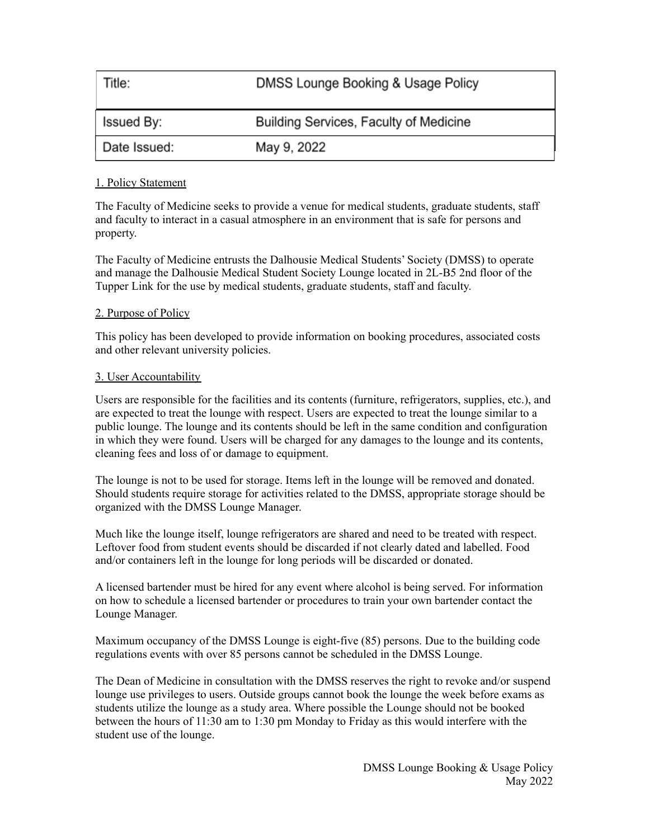| Title:       | DMSS Lounge Booking & Usage Policy     |
|--------------|----------------------------------------|
| Issued By:   | Building Services, Faculty of Medicine |
| Date Issued: | May 9, 2022                            |

## 1. Policy Statement

The Faculty of Medicine seeks to provide a venue for medical students, graduate students, staff and faculty to interact in a casual atmosphere in an environment that is safe for persons and property.

The Faculty of Medicine entrusts the Dalhousie Medical Students' Society (DMSS) to operate and manage the Dalhousie Medical Student Society Lounge located in 2L-B5 2nd floor of the Tupper Link for the use by medical students, graduate students, staff and faculty.

## 2. Purpose of Policy

This policy has been developed to provide information on booking procedures, associated costs and other relevant university policies.

#### 3. User Accountability

Users are responsible for the facilities and its contents (furniture, refrigerators, supplies, etc.), and are expected to treat the lounge with respect. Users are expected to treat the lounge similar to a public lounge. The lounge and its contents should be left in the same condition and configuration in which they were found. Users will be charged for any damages to the lounge and its contents, cleaning fees and loss of or damage to equipment.

The lounge is not to be used for storage. Items left in the lounge will be removed and donated. Should students require storage for activities related to the DMSS, appropriate storage should be organized with the DMSS Lounge Manager.

Much like the lounge itself, lounge refrigerators are shared and need to be treated with respect. Leftover food from student events should be discarded if not clearly dated and labelled. Food and/or containers left in the lounge for long periods will be discarded or donated.

A licensed bartender must be hired for any event where alcohol is being served. For information on how to schedule a licensed bartender or procedures to train your own bartender contact the Lounge Manager.

Maximum occupancy of the DMSS Lounge is eight-five (85) persons. Due to the building code regulations events with over 85 persons cannot be scheduled in the DMSS Lounge.

The Dean of Medicine in consultation with the DMSS reserves the right to revoke and/or suspend lounge use privileges to users. Outside groups cannot book the lounge the week before exams as students utilize the lounge as a study area. Where possible the Lounge should not be booked between the hours of 11:30 am to 1:30 pm Monday to Friday as this would interfere with the student use of the lounge.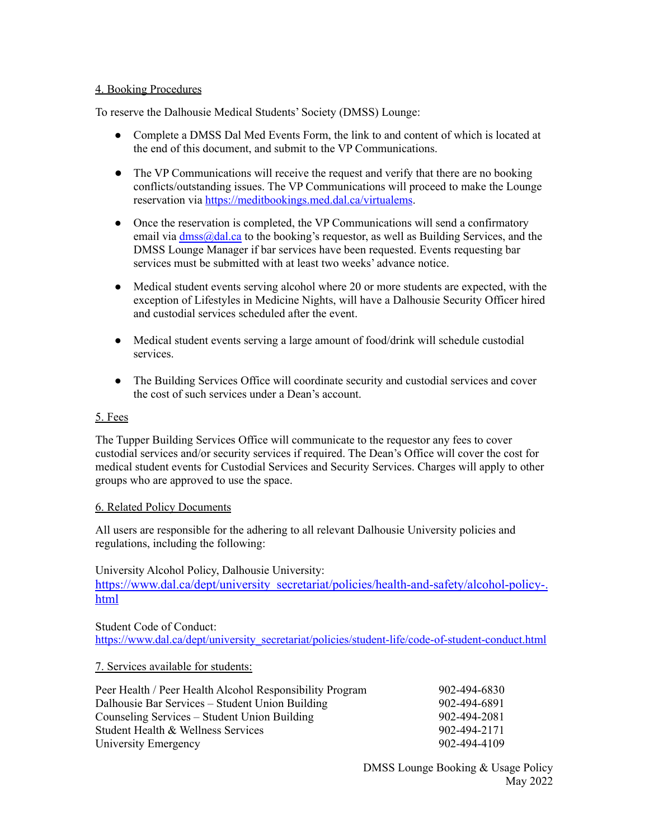#### 4. Booking Procedures

To reserve the Dalhousie Medical Students' Society (DMSS) Lounge:

- Complete a DMSS Dal Med Events Form, the link to and content of which is located at the end of this document, and submit to the VP Communications.
- The VP Communications will receive the request and verify that there are no booking conflicts/outstanding issues. The VP Communications will proceed to make the Lounge reservation via <https://meditbookings.med.dal.ca/virtualems>.
- Once the reservation is completed, the VP Communications will send a confirmatory email via [dmss@dal.ca](mailto:dmss@dal.ca) to the booking's requestor, as well as Building Services, and the DMSS Lounge Manager if bar services have been requested. Events requesting bar services must be submitted with at least two weeks' advance notice.
- Medical student events serving alcohol where 20 or more students are expected, with the exception of Lifestyles in Medicine Nights, will have a Dalhousie Security Officer hired and custodial services scheduled after the event.
- Medical student events serving a large amount of food/drink will schedule custodial services.
- The Building Services Office will coordinate security and custodial services and cover the cost of such services under a Dean's account.

## 5. Fees

The Tupper Building Services Office will communicate to the requestor any fees to cover custodial services and/or security services if required. The Dean's Office will cover the cost for medical student events for Custodial Services and Security Services. Charges will apply to other groups who are approved to use the space.

#### 6. Related Policy Documents

All users are responsible for the adhering to all relevant Dalhousie University policies and regulations, including the following:

University Alcohol Policy, Dalhousie University:

[https://www.dal.ca/dept/university\\_secretariat/policies/health-and-safety/alcohol-policy-.](https://www.dal.ca/dept/university_secretariat/policies/health-and-safety/alcohol-policy-.html) [html](https://www.dal.ca/dept/university_secretariat/policies/health-and-safety/alcohol-policy-.html)

Student Code of Conduct: [https://www.dal.ca/dept/university\\_secretariat/policies/student-life/code-of-student-conduct.html](https://www.dal.ca/dept/university_secretariat/policies/student-life/code-of-student-conduct.html)

#### 7. Services available for students:

| Peer Health / Peer Health Alcohol Responsibility Program | 902-494-6830 |
|----------------------------------------------------------|--------------|
| Dalhousie Bar Services – Student Union Building          | 902-494-6891 |
| Counseling Services – Student Union Building             | 902-494-2081 |
| Student Health & Wellness Services                       | 902-494-2171 |
| University Emergency                                     | 902-494-4109 |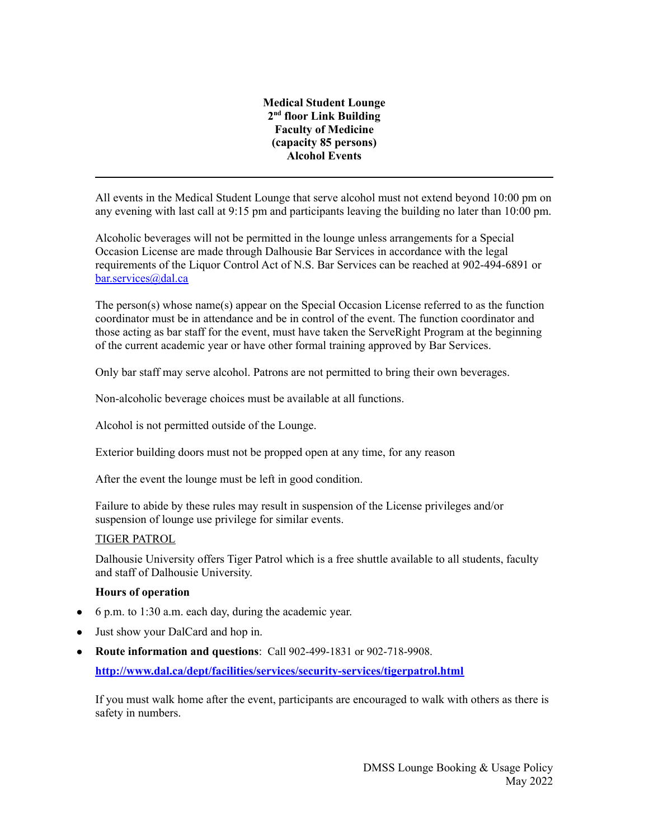#### **Medical Student Lounge 2 nd floor Link Building Faculty of Medicine (capacity 85 persons) Alcohol Events**

All events in the Medical Student Lounge that serve alcohol must not extend beyond 10:00 pm on any evening with last call at 9:15 pm and participants leaving the building no later than 10:00 pm.

Alcoholic beverages will not be permitted in the lounge unless arrangements for a Special Occasion License are made through Dalhousie Bar Services in accordance with the legal requirements of the Liquor Control Act of N.S. Bar Services can be reached at 902-494-6891 or [bar.services@dal.ca](mailto:bar.services@dal.ca)

The person(s) whose name(s) appear on the Special Occasion License referred to as the function coordinator must be in attendance and be in control of the event. The function coordinator and those acting as bar staff for the event, must have taken the ServeRight Program at the beginning of the current academic year or have other formal training approved by Bar Services.

Only bar staff may serve alcohol. Patrons are not permitted to bring their own beverages.

Non-alcoholic beverage choices must be available at all functions.

Alcohol is not permitted outside of the Lounge.

Exterior building doors must not be propped open at any time, for any reason

After the event the lounge must be left in good condition.

Failure to abide by these rules may result in suspension of the License privileges and/or suspension of lounge use privilege for similar events.

#### TIGER PATROL

Dalhousie University offers Tiger Patrol which is a free shuttle available to all students, faculty and staff of Dalhousie University.

# **Hours of operation**

- 6 p.m. to 1:30 a.m. each day, during the academic year.
- Just show your DalCard and hop in.
- **Route information and questions**: Call 902-499-1831 or 902-718-9908.

**<http://www.dal.ca/dept/facilities/services/security-services/tigerpatrol.html>**

If you must walk home after the event, participants are encouraged to walk with others as there is safety in numbers.